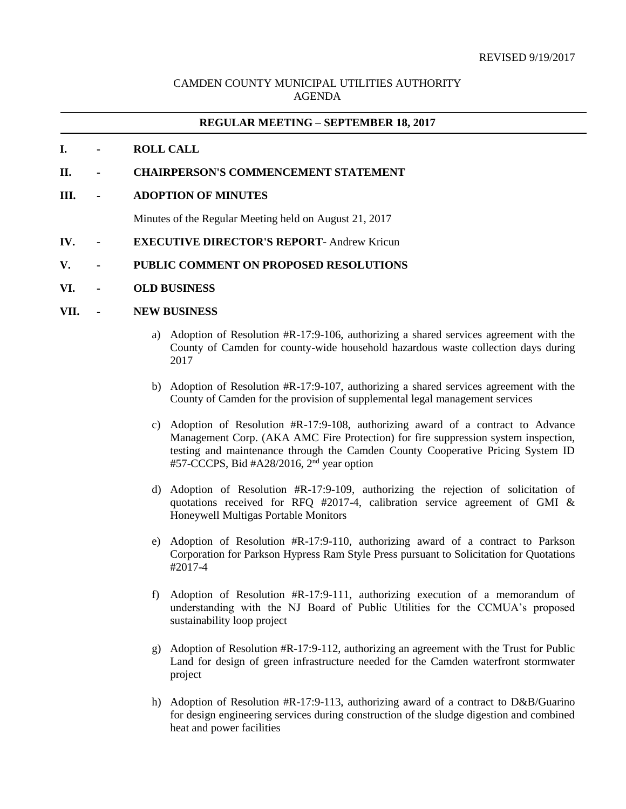## CAMDEN COUNTY MUNICIPAL UTILITIES AUTHORITY AGENDA

#### **REGULAR MEETING – SEPTEMBER 18, 2017**

#### **I. - ROLL CALL**

- **II. - CHAIRPERSON'S COMMENCEMENT STATEMENT**
- **III. - ADOPTION OF MINUTES**

Minutes of the Regular Meeting held on August 21, 2017

**IV. - EXECUTIVE DIRECTOR'S REPORT**- Andrew Kricun

#### **V. - PUBLIC COMMENT ON PROPOSED RESOLUTIONS**

**VI. - OLD BUSINESS**

### **VII. - NEW BUSINESS**

- a) Adoption of Resolution #R-17:9-106, authorizing a shared services agreement with the County of Camden for county-wide household hazardous waste collection days during 2017
- b) Adoption of Resolution #R-17:9-107, authorizing a shared services agreement with the County of Camden for the provision of supplemental legal management services
- c) Adoption of Resolution #R-17:9-108, authorizing award of a contract to Advance Management Corp. (AKA AMC Fire Protection) for fire suppression system inspection, testing and maintenance through the Camden County Cooperative Pricing System ID #57-CCCPS, Bid #A28/2016, 2<sup>nd</sup> year option
- d) Adoption of Resolution #R-17:9-109, authorizing the rejection of solicitation of quotations received for RFQ #2017-4, calibration service agreement of GMI & Honeywell Multigas Portable Monitors
- e) Adoption of Resolution #R-17:9-110, authorizing award of a contract to Parkson Corporation for Parkson Hypress Ram Style Press pursuant to Solicitation for Quotations #2017-4
- f) Adoption of Resolution #R-17:9-111, authorizing execution of a memorandum of understanding with the NJ Board of Public Utilities for the CCMUA's proposed sustainability loop project
- g) Adoption of Resolution #R-17:9-112, authorizing an agreement with the Trust for Public Land for design of green infrastructure needed for the Camden waterfront stormwater project
- h) Adoption of Resolution #R-17:9-113, authorizing award of a contract to D&B/Guarino for design engineering services during construction of the sludge digestion and combined heat and power facilities